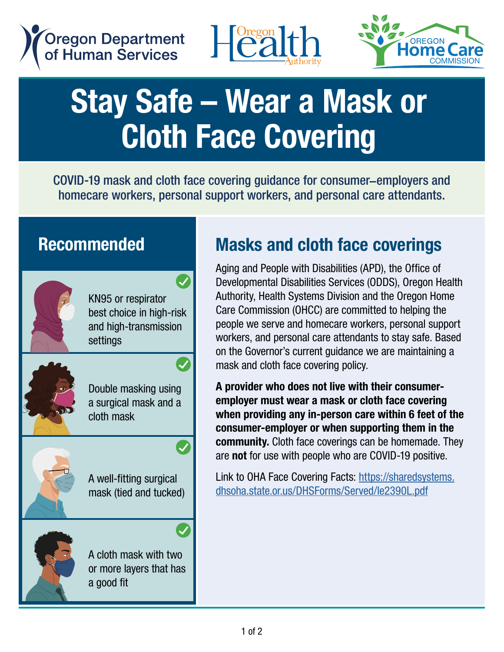





# Stay Safe – Wear a Mask or Cloth Face Covering

COVID-19 mask and cloth face covering guidance for consumer–employers and homecare workers, personal support workers, and personal care attendants.

#### Recommended

KN95 or respirator best choice in high-risk and high-transmission settings

 $\bullet$ 



Double masking using a surgical mask and a cloth mask



A well-fitting surgical mask (tied and tucked)



A cloth mask with two or more layers that has a good fit

### Masks and cloth face coverings

Aging and People with Disabilities (APD), the Office of Developmental Disabilities Services (ODDS), Oregon Health Authority, Health Systems Division and the Oregon Home Care Commission (OHCC) are committed to helping the people we serve and homecare workers, personal support workers, and personal care attendants to stay safe. Based on the Governor's current guidance we are maintaining a mask and cloth face covering policy.

A provider who does not live with their consumeremployer must wear a mask or cloth face covering when providing any in-person care within 6 feet of the consumer-employer or when supporting them in the community. Cloth face coverings can be homemade. They are not for use with people who are COVID-19 positive.

Link to OHA Face Covering Facts: [https://sharedsystems.](https://sharedsystems.dhsoha.state.or.us/DHSForms/Served/le2390L.pdf) [dhsoha.state.or.us/DHSForms/Served/le2390L.pdf](https://sharedsystems.dhsoha.state.or.us/DHSForms/Served/le2390L.pdf)